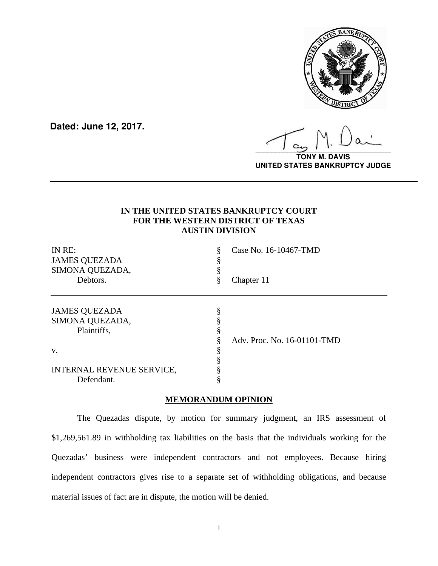

**Dated: June 12, 2017.**

**\_\_\_\_\_\_\_\_\_\_\_\_\_\_\_\_\_\_\_\_\_\_\_\_\_\_\_\_\_\_\_\_\_\_**

**TONY M. DAVIS UNITED STATES BANKRUPTCY JUDGE**

# **IN THE UNITED STATES BANKRUPTCY COURT FOR THE WESTERN DISTRICT OF TEXAS AUSTIN DIVISION**

**\_\_\_\_\_\_\_\_\_\_\_\_\_\_\_\_\_\_\_\_\_\_\_\_\_\_\_\_\_\_\_\_\_\_\_\_\_\_\_\_\_\_\_\_\_\_\_\_\_\_\_\_\_\_\_\_\_\_\_\_\_\_\_\_\_\_**

| IN RE:<br><b>JAMES QUEZADA</b><br>SIMONA QUEZADA,<br>Debtors. | §<br>8<br>ş<br>§ | Case No. 16-10467-TMD<br>Chapter 11 |
|---------------------------------------------------------------|------------------|-------------------------------------|
| <b>JAMES QUEZADA</b><br>SIMONA QUEZADA,<br>Plaintiffs,        | §<br>8           | Adv. Proc. No. 16-01101-TMD         |
| V.                                                            | Ò                |                                     |
| INTERNAL REVENUE SERVICE,                                     |                  |                                     |
| Defendant.                                                    |                  |                                     |

# **MEMORANDUM OPINION**

The Quezadas dispute, by motion for summary judgment, an IRS assessment of \$1,269,561.89 in withholding tax liabilities on the basis that the individuals working for the Quezadas' business were independent contractors and not employees. Because hiring independent contractors gives rise to a separate set of withholding obligations, and because material issues of fact are in dispute, the motion will be denied.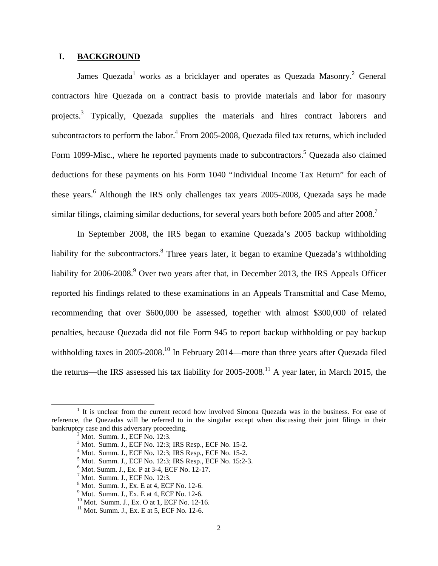### **I. BACKGROUND**

James Quezada<sup>1</sup> works as a bricklayer and operates as Quezada Masonry.<sup>2</sup> General contractors hire Quezada on a contract basis to provide materials and labor for masonry projects.<sup>3</sup> Typically, Quezada supplies the materials and hires contract laborers and subcontractors to perform the labor.<sup>4</sup> From 2005-2008, Quezada filed tax returns, which included Form 1099-Misc., where he reported payments made to subcontractors.<sup>5</sup> Quezada also claimed deductions for these payments on his Form 1040 "Individual Income Tax Return" for each of these years.<sup>6</sup> Although the IRS only challenges tax years 2005-2008, Quezada says he made similar filings, claiming similar deductions, for several years both before 2005 and after  $2008$ .<sup>7</sup>

In September 2008, the IRS began to examine Quezada's 2005 backup withholding liability for the subcontractors.<sup>8</sup> Three years later, it began to examine Quezada's withholding liability for 2006-2008.<sup>9</sup> Over two years after that, in December 2013, the IRS Appeals Officer reported his findings related to these examinations in an Appeals Transmittal and Case Memo, recommending that over \$600,000 be assessed, together with almost \$300,000 of related penalties, because Quezada did not file Form 945 to report backup withholding or pay backup withholding taxes in 2005-2008.<sup>10</sup> In February 2014—more than three years after Quezada filed the returns—the IRS assessed his tax liability for  $2005-2008$ .<sup>11</sup> A year later, in March 2015, the

<sup>&</sup>lt;u>1</u> <sup>1</sup> It is unclear from the current record how involved Simona Quezada was in the business. For ease of reference, the Quezadas will be referred to in the singular except when discussing their joint filings in their bankruptcy case and this adversary proceeding.

Mot. Summ. J., ECF No. 12:3.

<sup>3</sup> Mot. Summ. J., ECF No. 12:3; IRS Resp., ECF No. 15-2.

<sup>4</sup> Mot. Summ. J., ECF No. 12:3; IRS Resp., ECF No. 15-2.

<sup>5</sup> Mot. Summ. J., ECF No. 12:3; IRS Resp., ECF No. 15:2-3.

 $6$  Mot. Summ. J., Ex. P at 3-4, ECF No. 12-17.

 $<sup>7</sup>$  Mot. Summ. J., ECF No. 12:3.</sup>

 $8$  Mot. Summ. J., Ex. E at 4, ECF No. 12-6.

 $9^9$  Mot. Summ. J., Ex. E at 4, ECF No. 12-6.

<sup>10</sup> Mot. Summ. J., Ex. O at 1, ECF No. 12-16.

 $11$  Mot. Summ. J., Ex. E at 5, ECF No. 12-6.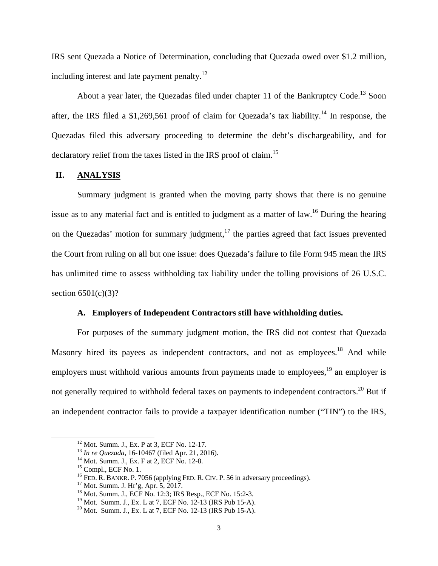IRS sent Quezada a Notice of Determination, concluding that Quezada owed over \$1.2 million, including interest and late payment penalty.<sup>12</sup>

About a year later, the Quezadas filed under chapter 11 of the Bankruptcy Code.<sup>13</sup> Soon after, the IRS filed a \$1,269,561 proof of claim for Quezada's tax liability.<sup>14</sup> In response, the Quezadas filed this adversary proceeding to determine the debt's dischargeability, and for declaratory relief from the taxes listed in the IRS proof of claim.<sup>15</sup>

#### **II. ANALYSIS**

Summary judgment is granted when the moving party shows that there is no genuine issue as to any material fact and is entitled to judgment as a matter of law.<sup>16</sup> During the hearing on the Quezadas' motion for summary judgment, $17$  the parties agreed that fact issues prevented the Court from ruling on all but one issue: does Quezada's failure to file Form 945 mean the IRS has unlimited time to assess withholding tax liability under the tolling provisions of 26 U.S.C. section  $6501(c)(3)$ ?

#### **A. Employers of Independent Contractors still have withholding duties.**

For purposes of the summary judgment motion, the IRS did not contest that Quezada Masonry hired its payees as independent contractors, and not as employees.<sup>18</sup> And while employers must withhold various amounts from payments made to employees,<sup>19</sup> an employer is not generally required to withhold federal taxes on payments to independent contractors.<sup>20</sup> But if an independent contractor fails to provide a taxpayer identification number ("TIN") to the IRS,

 <sup>12</sup> Mot. Summ. J., Ex. P at 3, ECF No. 12-17.

<sup>&</sup>lt;sup>13</sup> *In re Quezada*, 16-10467 (filed Apr. 21, 2016).<br><sup>14</sup> Mot. Summ. J., Ex. F at 2, ECF No. 12-8.

<sup>15</sup> Compl., ECF No. 1.

<sup>&</sup>lt;sup>16</sup> FED. R. BANKR. P. 7056 (applying FED. R. CIV. P. 56 in adversary proceedings). <sup>17</sup> Mot. Summ. J. Hr'g, Apr. 5, 2017.

<sup>18</sup> Mot. Summ. J., ECF No. 12:3; IRS Resp., ECF No. 15:2-3.

<sup>19</sup> Mot. Summ. J., Ex. L at 7, ECF No. 12-13 (IRS Pub 15-A).

 $^{20}$  Mot. Summ. J., Ex. L at 7, ECF No. 12-13 (IRS Pub 15-A).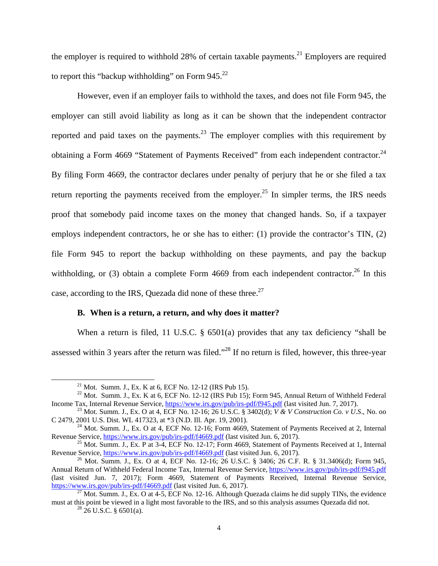the employer is required to withhold  $28\%$  of certain taxable payments.<sup>21</sup> Employers are required to report this "backup withholding" on Form  $945.^{22}$ 

However, even if an employer fails to withhold the taxes, and does not file Form 945, the employer can still avoid liability as long as it can be shown that the independent contractor reported and paid taxes on the payments.<sup>23</sup> The employer complies with this requirement by obtaining a Form 4669 "Statement of Payments Received" from each independent contractor.<sup>24</sup> By filing Form 4669, the contractor declares under penalty of perjury that he or she filed a tax return reporting the payments received from the employer.<sup>25</sup> In simpler terms, the IRS needs proof that somebody paid income taxes on the money that changed hands. So, if a taxpayer employs independent contractors, he or she has to either: (1) provide the contractor's TIN, (2) file Form 945 to report the backup withholding on these payments, and pay the backup withholding, or (3) obtain a complete Form 4669 from each independent contractor.<sup>26</sup> In this case, according to the IRS, Quezada did none of these three.<sup>27</sup>

# **B. When is a return, a return, and why does it matter?**

When a return is filed, 11 U.S.C. § 6501(a) provides that any tax deficiency "shall be assessed within 3 years after the return was filed."<sup>28</sup> If no return is filed, however, this three-year

<sup>&</sup>lt;sup>21</sup> Mot. Summ. J., Ex. K at 6, ECF No. 12-12 (IRS Pub 15).

<sup>&</sup>lt;sup>22</sup> Mot. Summ. J., Ex. K at 6, ECF No. 12-12 (IRS Pub 15); Form 945, Annual Return of Withheld Federal

Income Tax, Internal Revenue Service, https://www.irs.gov/pub/irs-pdf/f945.pdf (last visited Jun. 7, 2017).<br><sup>23</sup> Mot. Summ. J., Ex. O at 4, ECF No. 12-16; 26 U.S.C. § 3402(d); *V & V Construction Co. v U.S.*, No. oo C 2479

<sup>&</sup>lt;sup>24</sup> Mot. Summ. J., Ex. O at 4, ECF No. 12-16; Form 4669, Statement of Payments Received at 2, Internal Revenue Service,  $\frac{https://www.irs.gov/public/irs.pdf/f4669.pdf}{https://www.irs.gov/public/irs.pdf/f4669.pdf}$  (last visited Jun. 6, 2017).

<sup>&</sup>lt;sup>25</sup> Mot. Summ. J., Ex. P at 3-4, ECF No. 12-17; Form 4669, Statement of Payments Received at 1, Internal Revenue Service,  $\frac{https://www.irs.gov/public/s.pdf/fd-669.pdf}{https://www.irs.gov/public/s.pdf/fd-669.pdf}$  (last visited Jun. 6, 2017).

<sup>&</sup>lt;sup>26</sup> Mot. Summ. J., Ex. O at 4, ECF No. 12-16; 26 U.S.C. § 3406; 26 C.F. R. § 31.3406(d); Form 945, Annual Return of Withheld Federal Income Tax, Internal Revenue Service, https://www.irs.gov/pub/irs-pdf/f945.pdf (last visited Jun. 7, 2017); Form 4669, Statement of Payments Received, Internal Revenue Service, https://www.irs.gov/pub/irs-pdf/f4669.pdf (last visited Jun. 6, 2017).

<sup>&</sup>lt;sup>27</sup> Mot. Summ. J., Ex. O at 4-5, ECF No. 12-16. Although Quezada claims he did supply TINs, the evidence must at this point be viewed in a light most favorable to the IRS, and so this analysis assumes Quezada did not.<br><sup>28</sup> 26 U.S.C. § 6501(a).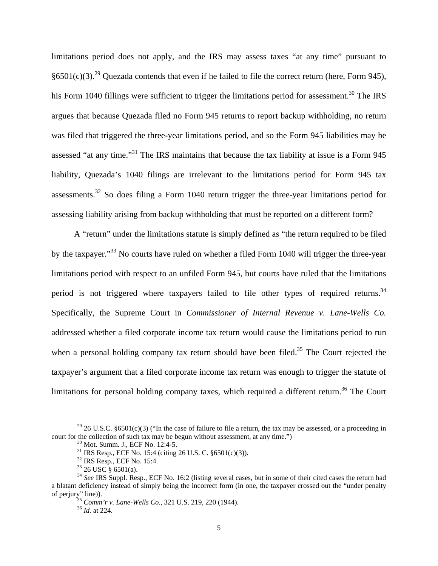limitations period does not apply, and the IRS may assess taxes "at any time" pursuant to §6501(c)(3).<sup>29</sup> Quezada contends that even if he failed to file the correct return (here, Form 945), his Form 1040 fillings were sufficient to trigger the limitations period for assessment.<sup>30</sup> The IRS argues that because Quezada filed no Form 945 returns to report backup withholding, no return was filed that triggered the three-year limitations period, and so the Form 945 liabilities may be assessed "at any time."31 The IRS maintains that because the tax liability at issue is a Form 945 liability, Quezada's 1040 filings are irrelevant to the limitations period for Form 945 tax assessments.<sup>32</sup> So does filing a Form 1040 return trigger the three-year limitations period for assessing liability arising from backup withholding that must be reported on a different form?

A "return" under the limitations statute is simply defined as "the return required to be filed by the taxpayer."<sup>33</sup> No courts have ruled on whether a filed Form 1040 will trigger the three-year limitations period with respect to an unfiled Form 945, but courts have ruled that the limitations period is not triggered where taxpayers failed to file other types of required returns.<sup>34</sup> Specifically, the Supreme Court in *Commissioner of Internal Revenue v. Lane-Wells Co.* addressed whether a filed corporate income tax return would cause the limitations period to run when a personal holding company tax return should have been filed.<sup>35</sup> The Court rejected the taxpayer's argument that a filed corporate income tax return was enough to trigger the statute of limitations for personal holding company taxes, which required a different return.<sup>36</sup> The Court

<sup>&</sup>lt;sup>29</sup> 26 U.S.C. §6501(c)(3) ("In the case of failure to file a return, the tax may be assessed, or a proceeding in court for the collection of such tax may be begun without assessment, at any time.") <sup>30</sup> Mot. Summ. J., ECF No. 12:4-5.

<sup>31</sup> IRS Resp., ECF No. 15:4 (citing 26 U.S. C. §6501(c)(3)).

<sup>32</sup> IRS Resp., ECF No. 15:4.

 $33$  26 USC § 6501(a).

<sup>34</sup> *See* IRS Suppl. Resp., ECF No. 16:2 (listing several cases, but in some of their cited cases the return had a blatant deficiency instead of simply being the incorrect form (in one, the taxpayer crossed out the "under penalty of perjury" line)). 35 *Comm'r v. Lane-Wells Co.,* 321 U.S. 219, 220 (1944). 36 *Id.* at 224.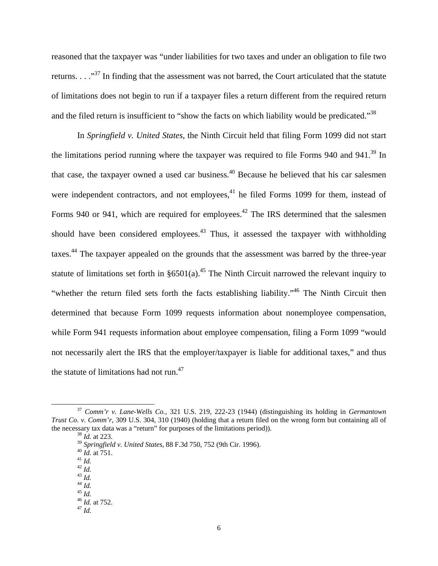reasoned that the taxpayer was "under liabilities for two taxes and under an obligation to file two returns. . . ."37 In finding that the assessment was not barred, the Court articulated that the statute of limitations does not begin to run if a taxpayer files a return different from the required return and the filed return is insufficient to "show the facts on which liability would be predicated."<sup>38</sup>

In *Springfield v. United States*, the Ninth Circuit held that filing Form 1099 did not start the limitations period running where the taxpayer was required to file Forms 940 and 941.<sup>39</sup> In that case, the taxpayer owned a used car business.40 Because he believed that his car salesmen were independent contractors, and not employees, $^{41}$  he filed Forms 1099 for them, instead of Forms 940 or 941, which are required for employees.<sup>42</sup> The IRS determined that the salesmen should have been considered employees.<sup>43</sup> Thus, it assessed the taxpayer with withholding taxes.44 The taxpayer appealed on the grounds that the assessment was barred by the three-year statute of limitations set forth in  $\S 6501(a)$ .<sup>45</sup> The Ninth Circuit narrowed the relevant inquiry to "whether the return filed sets forth the facts establishing liability."<sup>46</sup> The Ninth Circuit then determined that because Form 1099 requests information about nonemployee compensation, while Form 941 requests information about employee compensation, filing a Form 1099 "would not necessarily alert the IRS that the employer/taxpayer is liable for additional taxes," and thus the statute of limitations had not run.<sup>47</sup>

 <sup>37</sup> *Comm'r v. Lane-Wells Co.,* 321 U.S. 219, 222-23 (1944) (distinguishing its holding in *Germantown Trust Co. v. Comm'r*, 309 U.S. 304, 310 (1940) (holding that a return filed on the wrong form but containing all of the necessary tax data was a "return" for purposes of the limitations period)). 38 *Id.* at 223.

<sup>&</sup>lt;sup>39</sup> *Springfield v. United States*, 88 F.3d 750, 752 (9th Cir. 1996).<br><sup>40</sup> *Id.* at 751.<br><sup>41</sup> *Id.*  $\frac{42}{16}$ .

<sup>42</sup> *Id.* 43 *Id.* 44 *Id.* 45 *Id.* 46 *Id.* at 752. 47 *Id.*